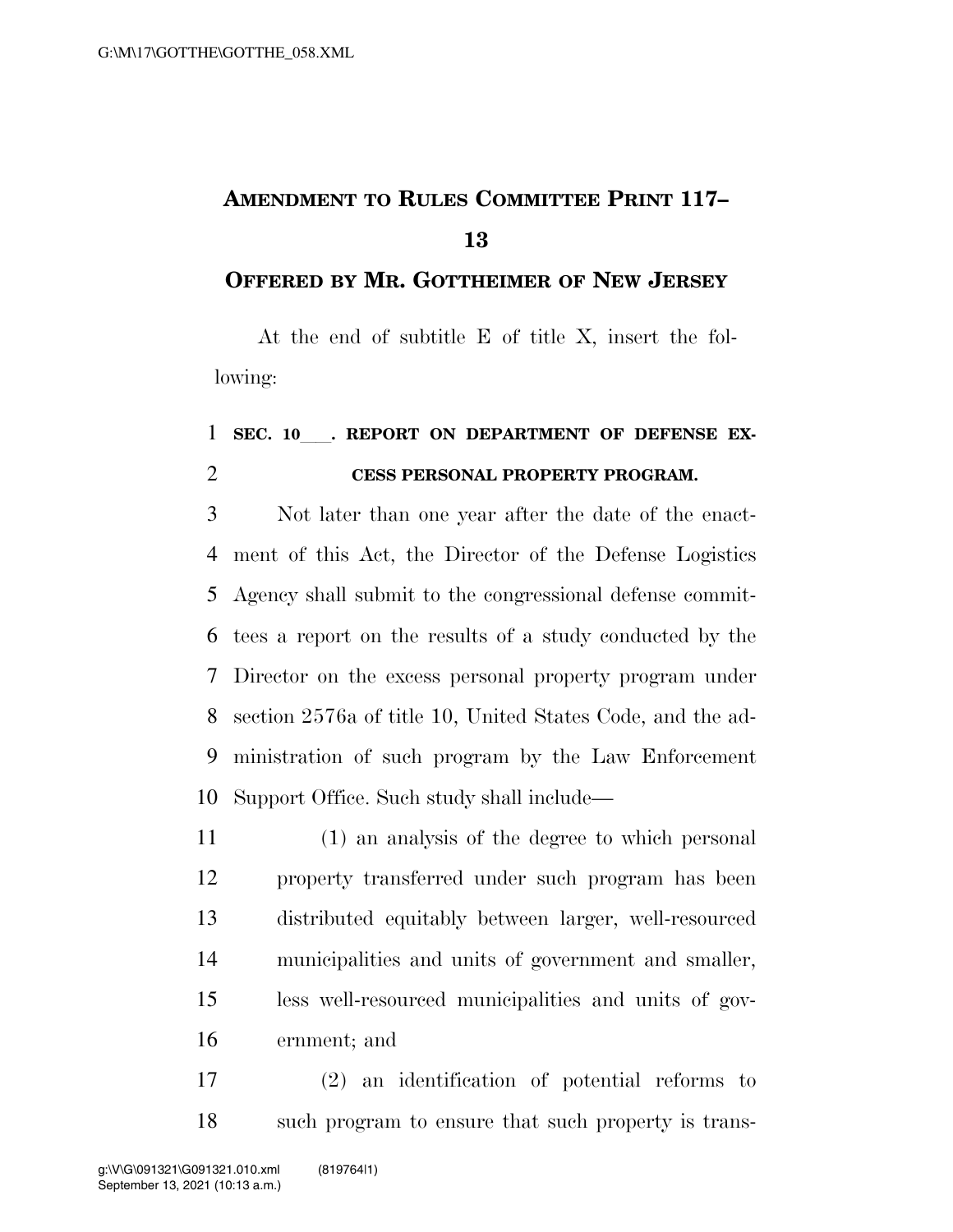## **AMENDMENT TO RULES COMMITTEE PRINT 117–**

## **OFFERED BY MR. GOTTHEIMER OF NEW JERSEY**

At the end of subtitle E of title X, insert the following:

## 1 SEC. 10 . REPORT ON DEPARTMENT OF DEFENSE EX-**CESS PERSONAL PROPERTY PROGRAM.**

 Not later than one year after the date of the enact- ment of this Act, the Director of the Defense Logistics Agency shall submit to the congressional defense commit- tees a report on the results of a study conducted by the Director on the excess personal property program under section 2576a of title 10, United States Code, and the ad- ministration of such program by the Law Enforcement Support Office. Such study shall include—

 (1) an analysis of the degree to which personal property transferred under such program has been distributed equitably between larger, well-resourced municipalities and units of government and smaller, less well-resourced municipalities and units of gov-ernment; and

 (2) an identification of potential reforms to such program to ensure that such property is trans